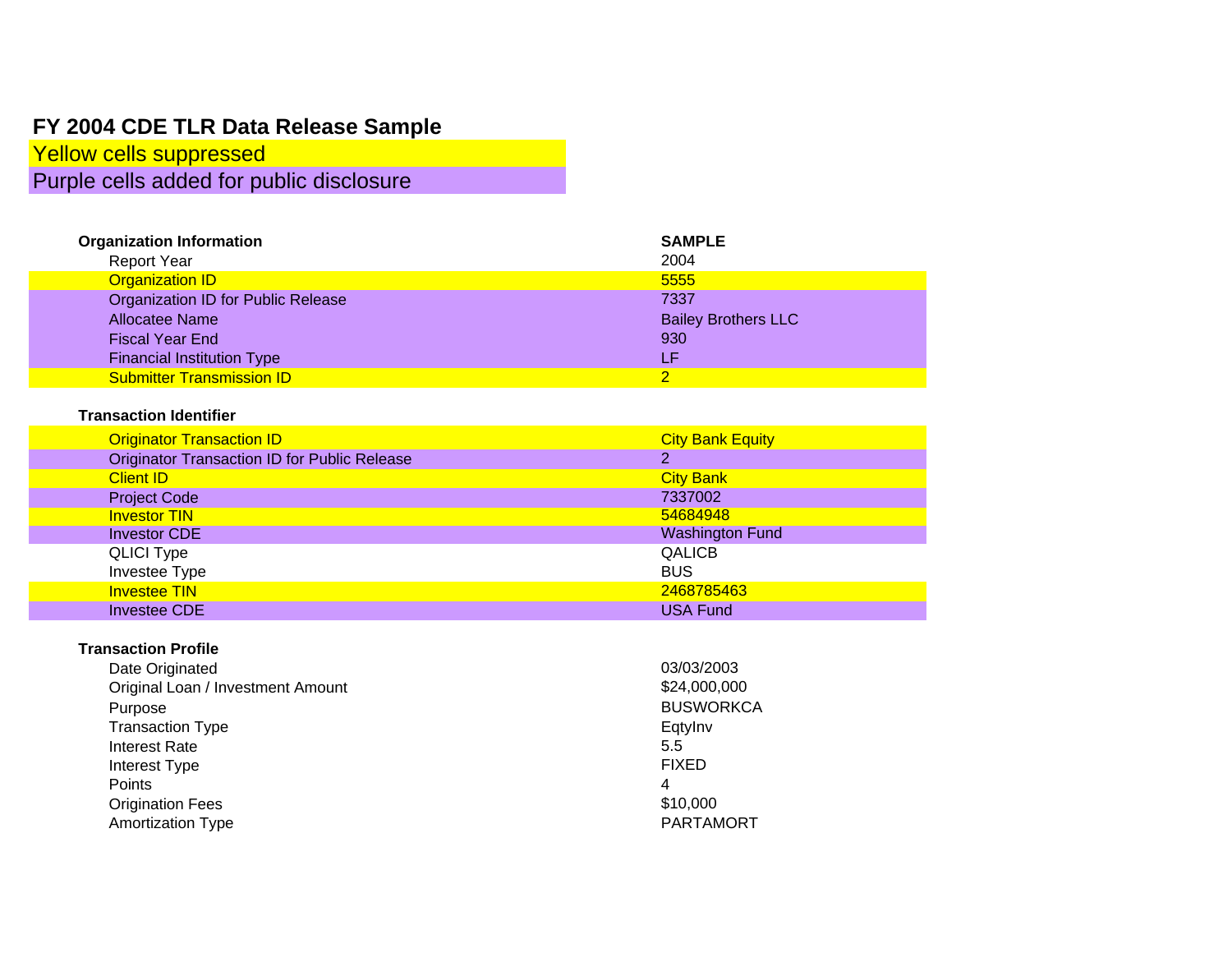# **FY 2004 CDE TLR Data Release Sample**

Yellow cells suppressed Purple cells added for public disclosure

| <b>Organization Information</b>    | <b>SAMPLE</b>              |
|------------------------------------|----------------------------|
| <b>Report Year</b>                 | 2004                       |
| <b>Organization ID</b>             | 5555                       |
| Organization ID for Public Release | 7337                       |
| Allocatee Name                     | <b>Bailey Brothers LLC</b> |
| <b>Fiscal Year End</b>             | 930                        |
| <b>Financial Institution Type</b>  | Æ                          |
| <b>Submitter Transmission ID</b>   |                            |

#### **Transaction Identifier**

| <b>Originator Transaction ID</b>                    | <b>City Bank Equity</b> |
|-----------------------------------------------------|-------------------------|
| <b>Originator Transaction ID for Public Release</b> | 2                       |
| <b>Client ID</b>                                    | <b>City Bank</b>        |
| <b>Project Code</b>                                 | 7337002                 |
| <b>Investor TIN</b>                                 | 54684948                |
| <b>Investor CDE</b>                                 | <b>Washington Fund</b>  |
| <b>QLICI Type</b>                                   | <b>QALICB</b>           |
| Investee Type                                       | <b>BUS</b>              |
| <b>Investee TIN</b>                                 | 2468785463              |
| <b>Investee CDE</b>                                 | <b>USA Fund</b>         |

#### **Transaction Profile**

| 03/03/2003       |
|------------------|
| \$24,000,000     |
| <b>BUSWORKCA</b> |
| Eqtylny          |
| 5.5              |
| <b>FIXED</b>     |
| 4                |
| \$10,000         |
| <b>PARTAMORT</b> |
|                  |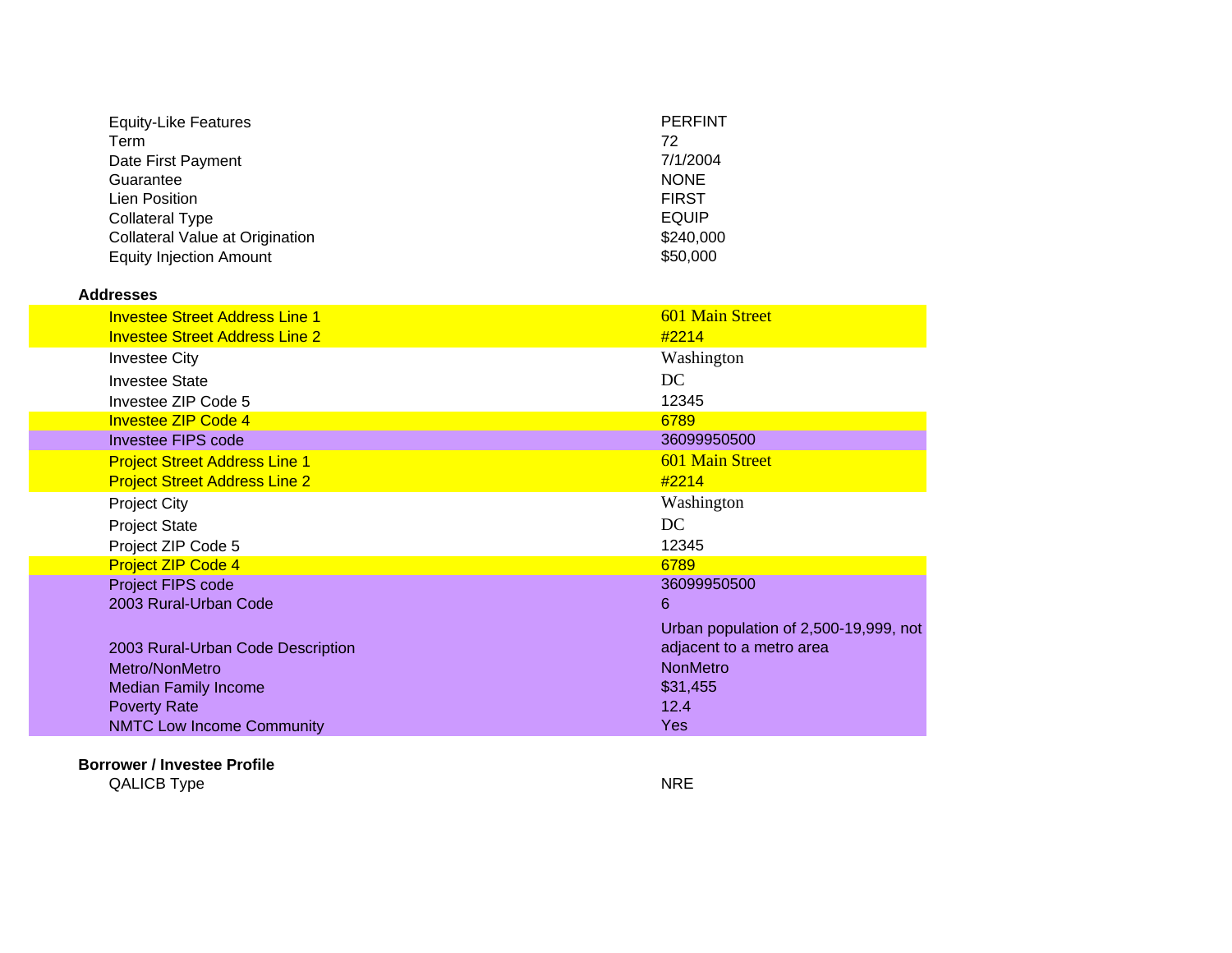| <b>Equity-Like Features</b>     | <b>PERFINT</b> |
|---------------------------------|----------------|
| Term                            | 72             |
| Date First Payment              | 7/1/2004       |
| Guarantee                       | <b>NONE</b>    |
| Lien Position                   | <b>FIRST</b>   |
| <b>Collateral Type</b>          | <b>EQUIP</b>   |
| Collateral Value at Origination | \$240,000      |
| <b>Equity Injection Amount</b>  | \$50,000       |
|                                 |                |

#### **Addresses**

| <b>Investee Street Address Line 1</b> | <b>601 Main Street</b>                |
|---------------------------------------|---------------------------------------|
| <b>Investee Street Address Line 2</b> | #2214                                 |
| <b>Investee City</b>                  | Washington                            |
| <b>Investee State</b>                 | DC                                    |
| Investee ZIP Code 5                   | 12345                                 |
| <b>Investee ZIP Code 4</b>            | 6789                                  |
| <b>Investee FIPS code</b>             | 36099950500                           |
| <b>Project Street Address Line 1</b>  | <b>601 Main Street</b>                |
| <b>Project Street Address Line 2</b>  | #2214                                 |
| <b>Project City</b>                   | Washington                            |
| <b>Project State</b>                  | DC.                                   |
| Project ZIP Code 5                    | 12345                                 |
| <b>Project ZIP Code 4</b>             | 6789                                  |
| Project FIPS code                     | 36099950500                           |
| 2003 Rural-Urban Code                 | 6                                     |
|                                       | Urban population of 2,500-19,999, not |
| 2003 Rural-Urban Code Description     | adjacent to a metro area              |
| Metro/NonMetro                        | <b>NonMetro</b>                       |
| <b>Median Family Income</b>           | \$31,455                              |
| <b>Poverty Rate</b>                   | 12.4                                  |
| <b>NMTC Low Income Community</b>      | <b>Yes</b>                            |

#### **Borrower / Investee Profile**

QALICB Type NRE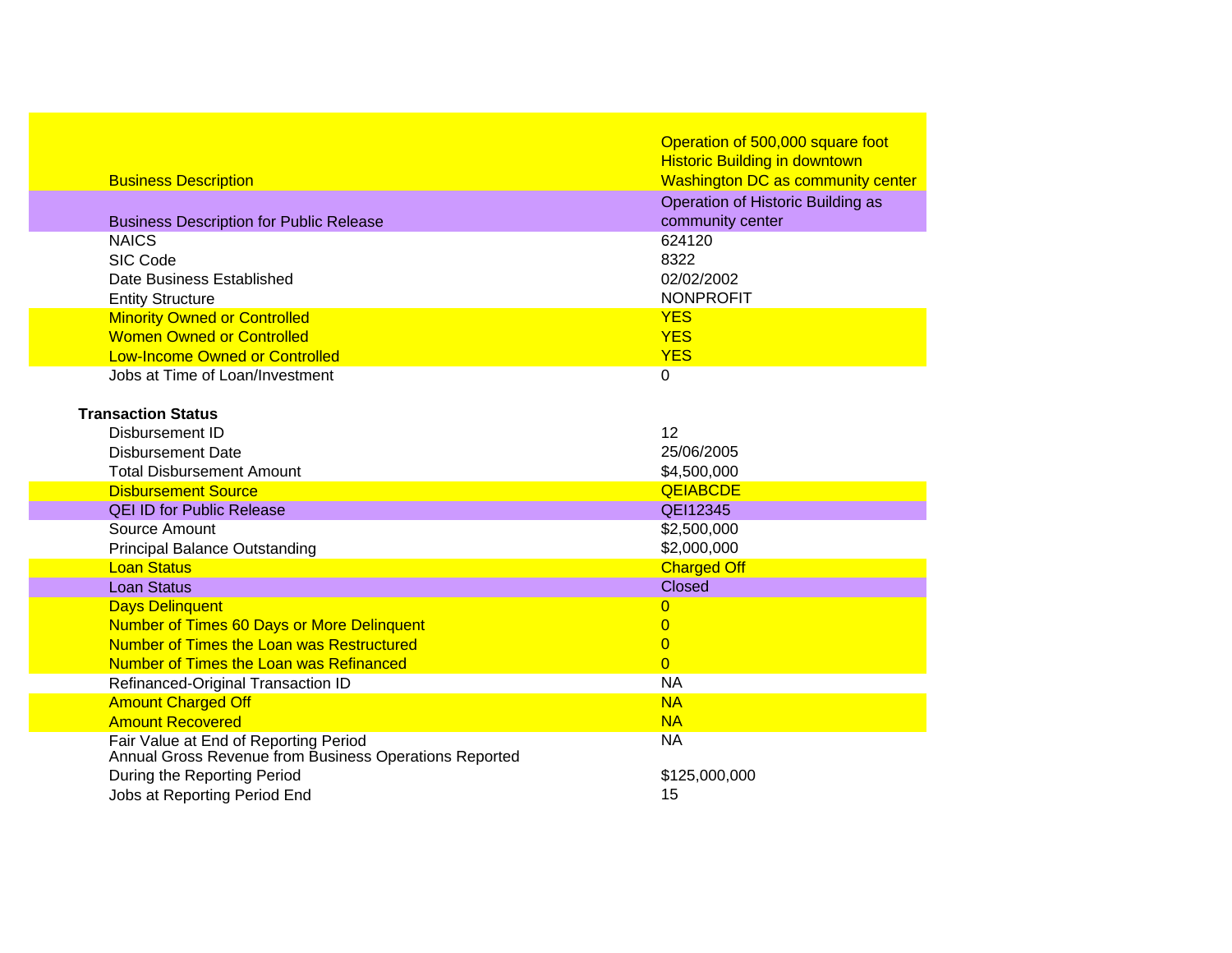|                                                                                                 | Operation of 500,000 square foot<br><b>Historic Building in downtown</b> |
|-------------------------------------------------------------------------------------------------|--------------------------------------------------------------------------|
| <b>Business Description</b>                                                                     | <b>Washington DC as community center</b>                                 |
|                                                                                                 | Operation of Historic Building as                                        |
| <b>Business Description for Public Release</b>                                                  | community center                                                         |
| <b>NAICS</b>                                                                                    | 624120                                                                   |
| SIC Code                                                                                        | 8322                                                                     |
| Date Business Established                                                                       | 02/02/2002                                                               |
| <b>Entity Structure</b>                                                                         | <b>NONPROFIT</b>                                                         |
| <b>Minority Owned or Controlled</b>                                                             | <b>YES</b>                                                               |
| <b>Women Owned or Controlled</b>                                                                | <b>YES</b>                                                               |
| <b>Low-Income Owned or Controlled</b>                                                           | <b>YES</b>                                                               |
| Jobs at Time of Loan/Investment                                                                 | $\Omega$                                                                 |
|                                                                                                 |                                                                          |
| <b>Transaction Status</b>                                                                       |                                                                          |
| <b>Disbursement ID</b>                                                                          | 12                                                                       |
| <b>Disbursement Date</b>                                                                        | 25/06/2005                                                               |
| <b>Total Disbursement Amount</b>                                                                | \$4,500,000                                                              |
| <b>Disbursement Source</b>                                                                      | <b>QEIABCDE</b>                                                          |
| <b>QEI ID for Public Release</b>                                                                | QEI12345                                                                 |
| Source Amount                                                                                   | \$2,500,000                                                              |
| <b>Principal Balance Outstanding</b>                                                            | \$2,000,000                                                              |
| <b>Loan Status</b>                                                                              | <b>Charged Off</b>                                                       |
| <b>Loan Status</b>                                                                              | <b>Closed</b>                                                            |
| <b>Days Delinquent</b>                                                                          | 0                                                                        |
| <b>Number of Times 60 Days or More Delinquent</b>                                               | $\overline{0}$                                                           |
| Number of Times the Loan was Restructured                                                       | $\overline{0}$                                                           |
| Number of Times the Loan was Refinanced                                                         | $\Omega$                                                                 |
| Refinanced-Original Transaction ID                                                              | <b>NA</b><br><b>NA</b>                                                   |
| <b>Amount Charged Off</b><br><b>Amount Recovered</b>                                            | <b>NA</b>                                                                |
|                                                                                                 | <b>NA</b>                                                                |
| Fair Value at End of Reporting Period<br>Annual Gross Revenue from Business Operations Reported |                                                                          |
| During the Reporting Period                                                                     | \$125,000,000                                                            |
| Jobs at Reporting Period End                                                                    | 15                                                                       |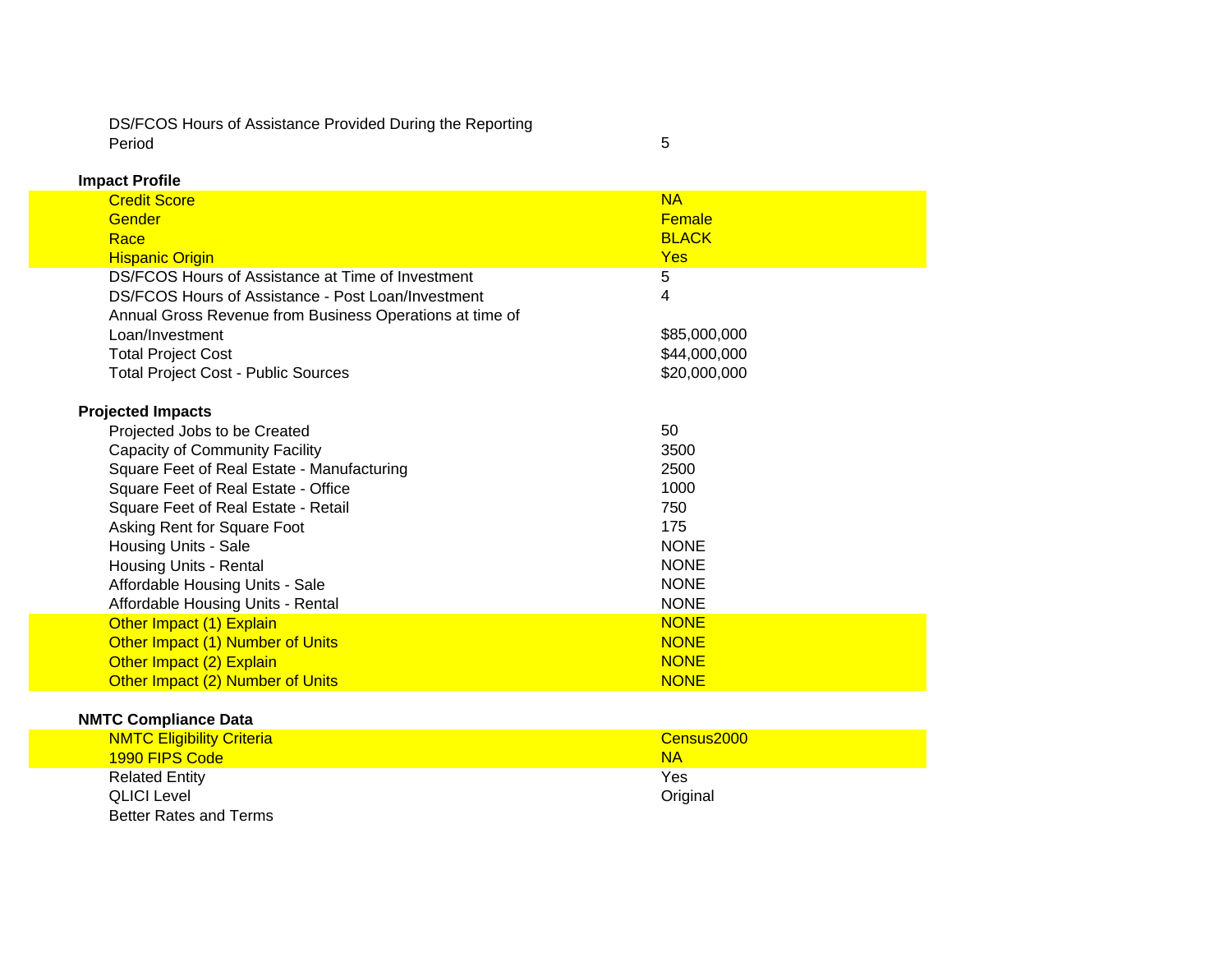DS/FCOS Hours of Assistance Provided During the Reporting Period

**Impact Profile**

| pav.vv                                                   |               |
|----------------------------------------------------------|---------------|
| <b>Credit Score</b>                                      | <b>NA</b>     |
| Gender                                                   | <b>Female</b> |
| Race                                                     | <b>BLACK</b>  |
| <b>Hispanic Origin</b>                                   | <b>Yes</b>    |
| DS/FCOS Hours of Assistance at Time of Investment        | 5             |
| DS/FCOS Hours of Assistance - Post Loan/Investment       | 4             |
| Annual Gross Revenue from Business Operations at time of |               |
| Loan/Investment                                          | \$85,000,000  |
| <b>Total Project Cost</b>                                | \$44,000,000  |
| <b>Total Project Cost - Public Sources</b>               | \$20,000,000  |
| <b>Projected Impacts</b>                                 |               |
| Projected Jobs to be Created                             | 50            |
| Capacity of Community Facility                           | 3500          |
| Square Feet of Real Estate - Manufacturing               | 2500          |
| Square Feet of Real Estate - Office                      | 1000          |
| Square Feet of Real Estate - Retail                      | 750           |
| Asking Rent for Square Foot                              | 175           |
| Housing Units - Sale                                     | <b>NONE</b>   |
| Housing Units - Rental                                   | <b>NONE</b>   |
| Affordable Housing Units - Sale                          | <b>NONE</b>   |
| Affordable Housing Units - Rental                        | <b>NONE</b>   |
| Other Impact (1) Explain                                 | <b>NONE</b>   |
| Other Impact (1) Number of Units                         | <b>NONE</b>   |
| Other Impact (2) Explain                                 | <b>NONE</b>   |
| Other Impact (2) Number of Units                         | <b>NONE</b>   |

5

## **NMTC Compliance Data**

| <b>NMTC Eligibility Criteria</b> | Census2000 |
|----------------------------------|------------|
| 1990 FIPS Code                   | <b>NA</b>  |
| <b>Related Entity</b>            | Yes        |
| <b>QLICI Level</b>               | Original   |
| Better Rates and Terms           |            |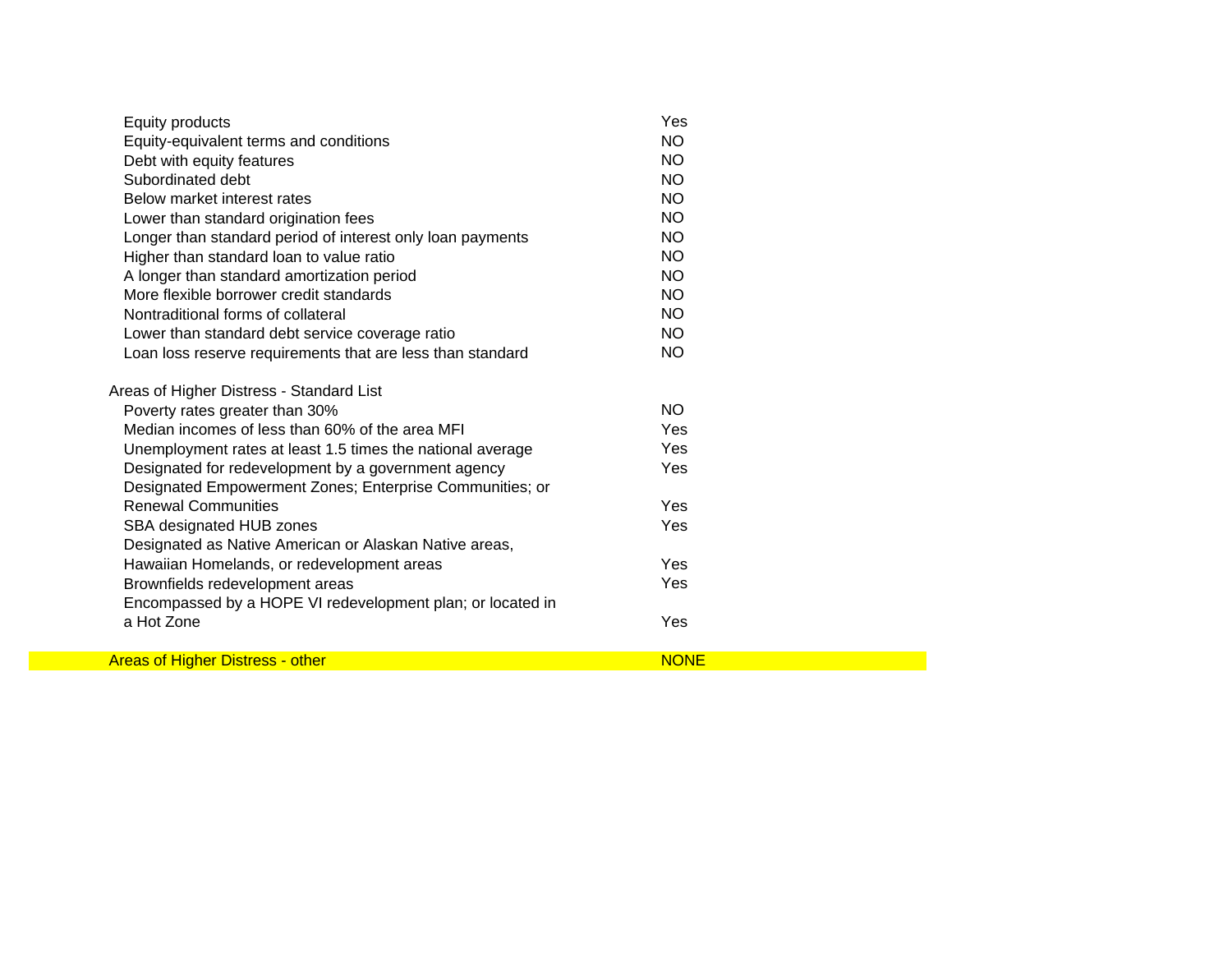| Equity products                                            | Yes         |  |
|------------------------------------------------------------|-------------|--|
| Equity-equivalent terms and conditions                     | <b>NO</b>   |  |
| Debt with equity features                                  | <b>NO</b>   |  |
| Subordinated debt                                          | <b>NO</b>   |  |
| Below market interest rates                                | <b>NO</b>   |  |
| Lower than standard origination fees                       | <b>NO</b>   |  |
| Longer than standard period of interest only loan payments | <b>NO</b>   |  |
| Higher than standard loan to value ratio                   | <b>NO</b>   |  |
| A longer than standard amortization period                 | <b>NO</b>   |  |
| More flexible borrower credit standards                    | NO.         |  |
| Nontraditional forms of collateral                         | <b>NO</b>   |  |
| Lower than standard debt service coverage ratio            | <b>NO</b>   |  |
| Loan loss reserve requirements that are less than standard | <b>NO</b>   |  |
| Areas of Higher Distress - Standard List                   |             |  |
| Poverty rates greater than 30%                             | NO.         |  |
| Median incomes of less than 60% of the area MFI            | Yes         |  |
| Unemployment rates at least 1.5 times the national average | Yes         |  |
| Designated for redevelopment by a government agency        | Yes         |  |
| Designated Empowerment Zones; Enterprise Communities; or   |             |  |
| <b>Renewal Communities</b>                                 | Yes         |  |
| SBA designated HUB zones                                   | Yes         |  |
| Designated as Native American or Alaskan Native areas,     |             |  |
| Hawaiian Homelands, or redevelopment areas                 | Yes         |  |
| Brownfields redevelopment areas                            | Yes         |  |
| Encompassed by a HOPE VI redevelopment plan; or located in |             |  |
| a Hot Zone                                                 | Yes         |  |
| <b>Areas of Higher Distress - other</b>                    | <b>NONE</b> |  |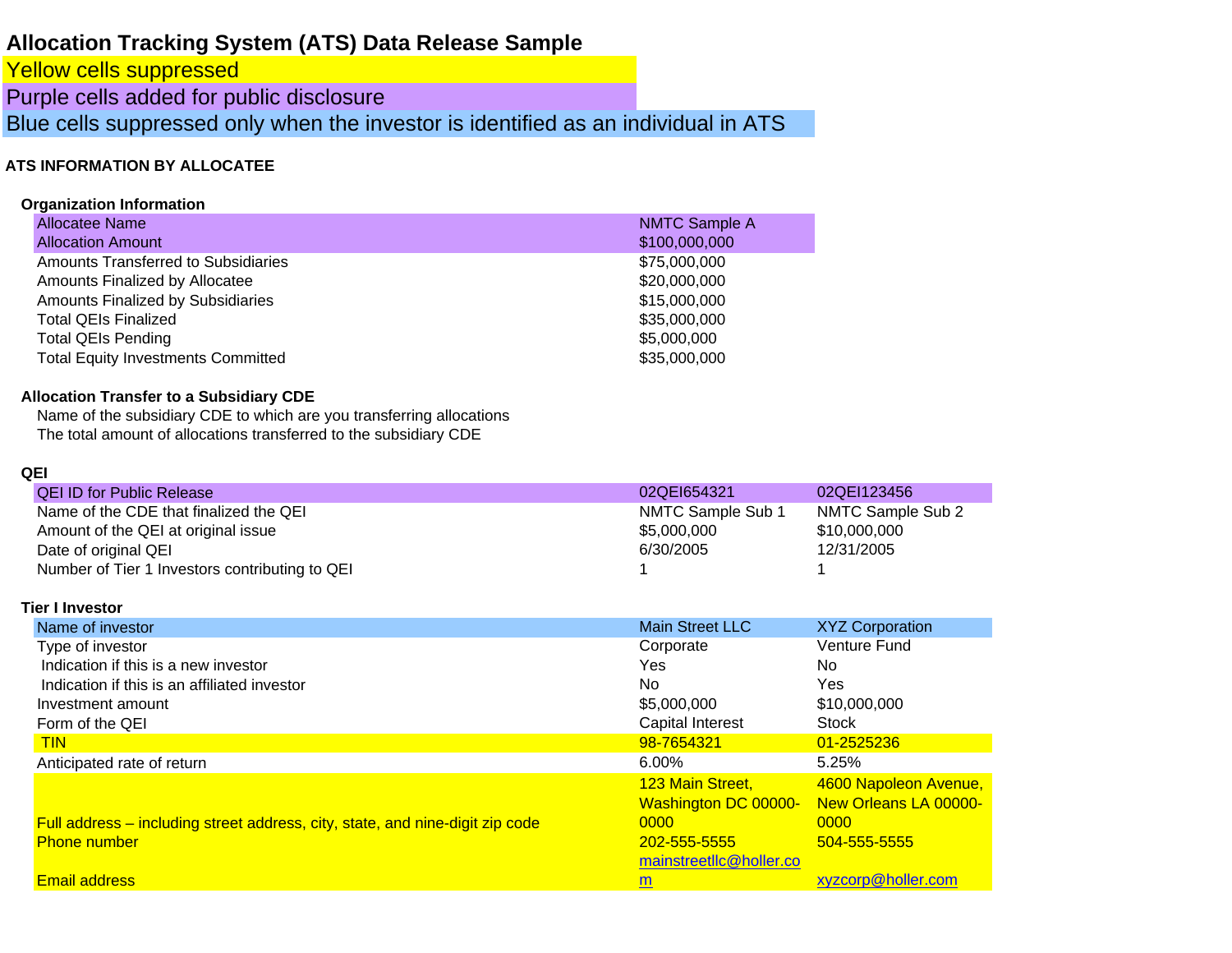## **Allocation Tracking System (ATS) Data Release Sample**

Yellow cells suppressed

Purple cells added for public disclosure

Blue cells suppressed only when the investor is identified as an individual in ATS

## **ATS INFORMATION BY ALLOCATE E**

#### **Organization Information**

| Allocatee Name                            | <b>NMTC Sample A</b> |
|-------------------------------------------|----------------------|
| <b>Allocation Amount</b>                  | \$100,000,000        |
| Amounts Transferred to Subsidiaries       | \$75,000,000         |
| Amounts Finalized by Allocatee            | \$20,000,000         |
| <b>Amounts Finalized by Subsidiaries</b>  | \$15,000,000         |
| <b>Total QEIs Finalized</b>               | \$35,000,000         |
| <b>Total QEIs Pending</b>                 | \$5,000,000          |
| <b>Total Equity Investments Committed</b> | \$35,000,000         |
|                                           |                      |

## **Allocation Transfer to a Subsidiary CDE**

Name of the subsidiary CDE to which are you transferring allocations The total amount of allocations transferred to the subsidiary CDE

#### **QEI**

| <b>QEI ID for Public Release</b>               | 02QEI654321       | 02QEI123456       |
|------------------------------------------------|-------------------|-------------------|
| Name of the CDE that finalized the QEI         | NMTC Sample Sub 1 | NMTC Sample Sub 2 |
| Amount of the QEI at original issue            | \$5,000,000       | \$10,000,000      |
| Date of original QEI                           | 6/30/2005         | 12/31/2005        |
| Number of Tier 1 Investors contributing to QEI |                   |                   |

#### **Tier I Investor**

| Name of investor                                                              | <b>Main Street LLC</b>      | <b>XYZ Corporation</b> |
|-------------------------------------------------------------------------------|-----------------------------|------------------------|
| Type of investor                                                              | Corporate                   | Venture Fund           |
| Indication if this is a new investor                                          | Yes                         | No.                    |
| Indication if this is an affiliated investor                                  | No.                         | Yes                    |
| Investment amount                                                             | \$5,000,000                 | \$10,000,000           |
| Form of the QEI                                                               | Capital Interest            | Stock                  |
| <b>TIN</b>                                                                    | 98-7654321                  | 01-2525236             |
| Anticipated rate of return                                                    | $6.00\%$                    | 5.25%                  |
|                                                                               | 123 Main Street,            | 4600 Napoleon Avenue,  |
|                                                                               | <b>Washington DC 00000-</b> | New Orleans LA 00000-  |
| Full address – including street address, city, state, and nine-digit zip code | 0000                        | 0000                   |
| <b>Phone number</b>                                                           | 202-555-5555                | 504-555-5555           |
|                                                                               | mainstreetllc@holler.co     |                        |
| <b>Email address</b>                                                          | m                           | xyzcorp@holler.com     |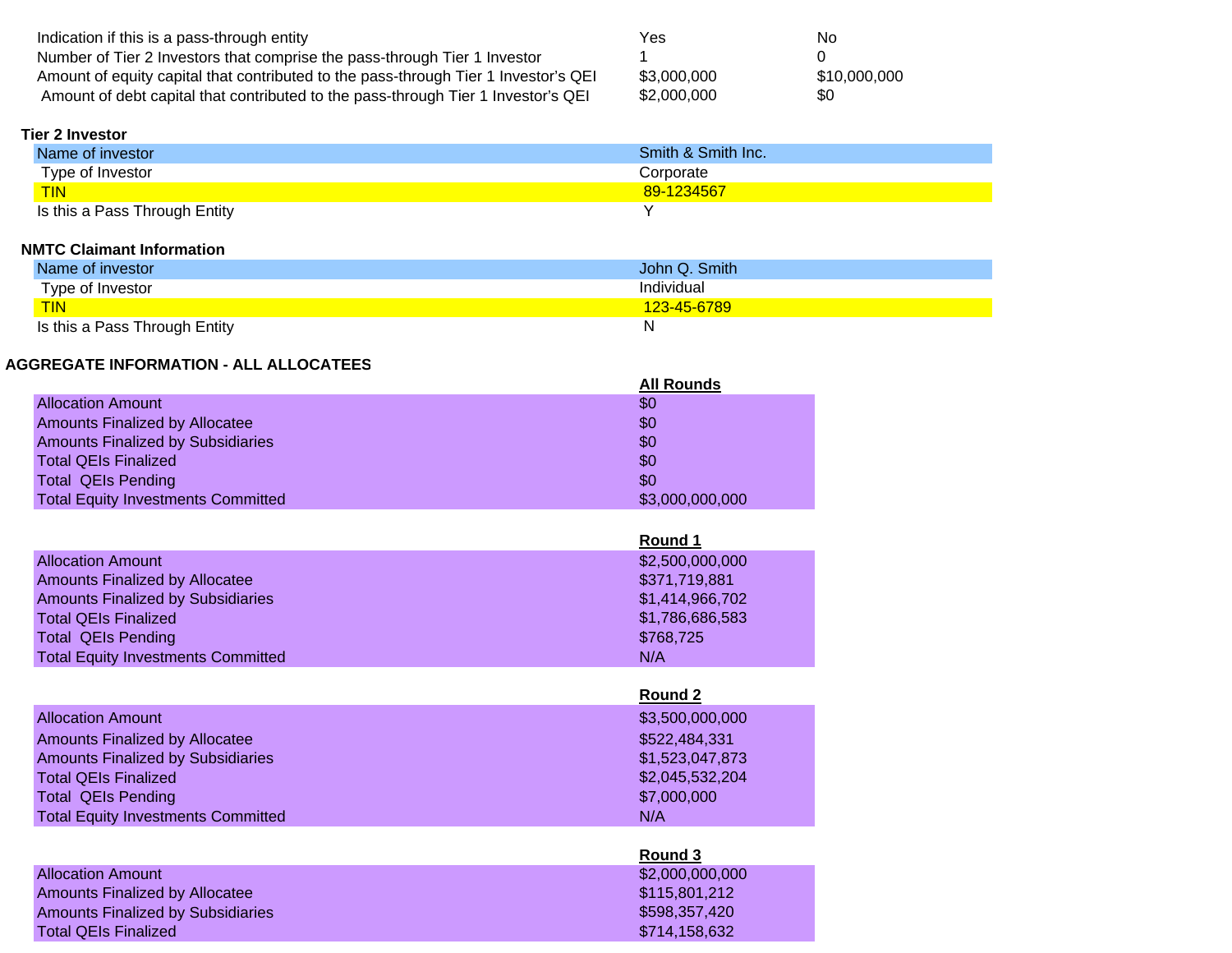| Indication if this is a pass-through entity                                         | Yes         | No           |
|-------------------------------------------------------------------------------------|-------------|--------------|
| Number of Tier 2 Investors that comprise the pass-through Tier 1 Investor           |             |              |
| Amount of equity capital that contributed to the pass-through Tier 1 Investor's QEI | \$3.000.000 | \$10,000,000 |
| Amount of debt capital that contributed to the pass-through Tier 1 Investor's QEI   | \$2,000,000 | \$0          |

#### **Tier 2 Investor**

| Name of investor              | Smith & Smith Inc. |
|-------------------------------|--------------------|
| Type of Investor              | Corporate          |
| <b>TIN</b>                    | 89-1234567         |
| Is this a Pass Through Entity |                    |

#### **NMTC Claimant Information**

| Name of investor              | John Q. Smith        |
|-------------------------------|----------------------|
| Type of Investor              | Individual           |
| <b>TIN</b>                    | <u> 123-45-6789 </u> |
| Is this a Pass Through Entity | ΙV                   |

## **AGGREGATE INFORMATION - ALL ALLOCATEES**

|                                           | <b>All Rounds</b> |
|-------------------------------------------|-------------------|
| <b>Allocation Amount</b>                  | \$0               |
| <b>Amounts Finalized by Allocatee</b>     | \$0               |
| <b>Amounts Finalized by Subsidiaries</b>  | \$0               |
| <b>Total QEIs Finalized</b>               | \$0               |
| <b>Total QEIs Pending</b>                 | \$0               |
| <b>Total Equity Investments Committed</b> | \$3,000,000,000   |

|                                           | Round 1         |
|-------------------------------------------|-----------------|
| <b>Allocation Amount</b>                  | \$2,500,000,000 |
| <b>Amounts Finalized by Allocatee</b>     | \$371,719,881   |
| <b>Amounts Finalized by Subsidiaries</b>  | \$1,414,966,702 |
| <b>Total QEIs Finalized</b>               | \$1,786,686,583 |
| <b>Total QEIs Pending</b>                 | \$768,725       |
| <b>Total Equity Investments Committed</b> | N/A             |

|                                           | Round 2         |
|-------------------------------------------|-----------------|
| <b>Allocation Amount</b>                  | \$3,500,000,000 |
| <b>Amounts Finalized by Allocatee</b>     | \$522,484,331   |
| <b>Amounts Finalized by Subsidiaries</b>  | \$1,523,047,873 |
| <b>Total QEIs Finalized</b>               | \$2,045,532,204 |
| <b>Total QEIs Pending</b>                 | \$7,000,000     |
| <b>Total Equity Investments Committed</b> | N/A             |

|                                          | Round 3         |
|------------------------------------------|-----------------|
| <b>Allocation Amount</b>                 | \$2,000,000,000 |
| <b>Amounts Finalized by Allocatee</b>    | \$115,801,212   |
| <b>Amounts Finalized by Subsidiaries</b> | \$598,357,420   |
| Total QEIs Finalized                     | \$714,158,632   |